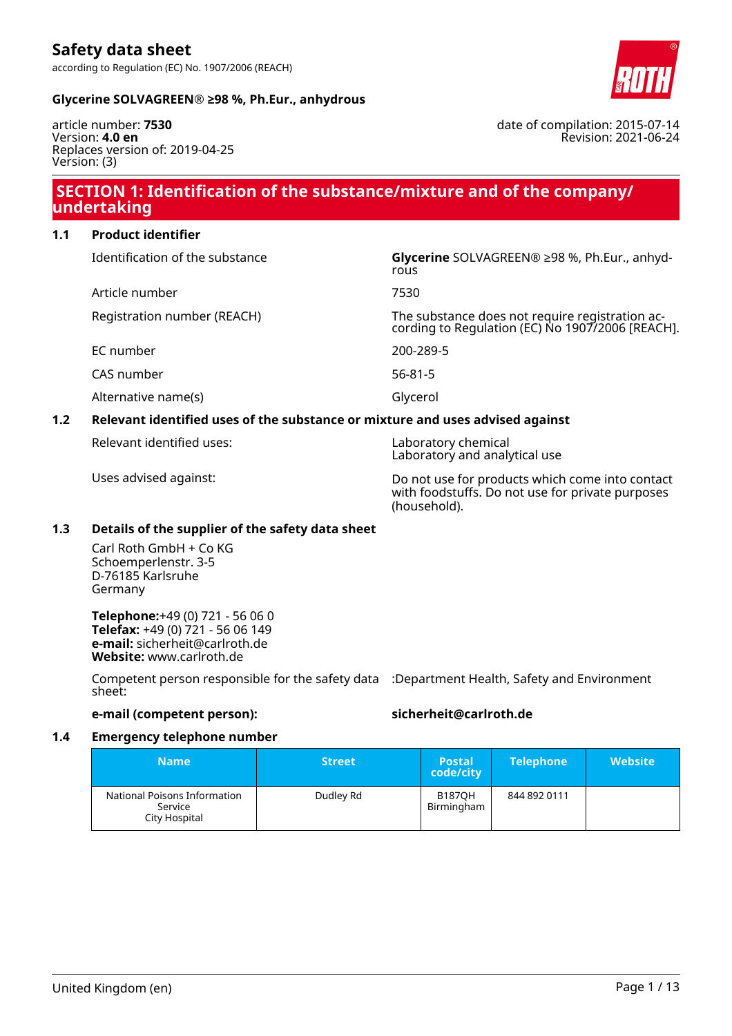

### **Glycerine SOLVAGREEN® ≥98 %, Ph.Eur., anhydrous**

article number: **7530** Version: **4.0 en** Replaces version of: 2019-04-25 Version: (3)

### **SECTION 1: Identification of the substance/mixture and of the company/ undertaking**

### **1.1 Product identifier**

| Relevant identified uses of the substance or mixture and uses advised against |                                                                                                |  |  |
|-------------------------------------------------------------------------------|------------------------------------------------------------------------------------------------|--|--|
| Alternative name(s)                                                           | Glycerol                                                                                       |  |  |
| CAS number                                                                    | $56 - 81 - 5$                                                                                  |  |  |
| EC number                                                                     | 200-289-5                                                                                      |  |  |
| Registration number (REACH)                                                   | The substance does not require registration according to Regulation (EC) No 1907/2006 [REACH]. |  |  |
| Article number                                                                | 7530                                                                                           |  |  |
| Identification of the substance                                               | Glycerine SOLVAGREEN® ≥98 %, Ph.Eur., anhyd-<br>rous                                           |  |  |
|                                                                               |                                                                                                |  |  |

Relevant identified uses: Laboratory chemical

Laboratory and analytical use

Uses advised against: Do not use for products which come into contact with foodstuffs. Do not use for private purposes (household).

### **1.3 Details of the supplier of the safety data sheet**

Carl Roth GmbH + Co KG Schoemperlenstr. 3-5 D-76185 Karlsruhe Germany

**Telephone:**+49 (0) 721 - 56 06 0 **Telefax:** +49 (0) 721 - 56 06 149 **e-mail:** sicherheit@carlroth.de **Website:** www.carlroth.de

Competent person responsible for the safety data :Department Health, Safety and Environment sheet:

### **e-mail (competent person): sicherheit@carlroth.de**

### **1.4 Emergency telephone number**

| <b>Name</b>                                              | <b>Street</b> | 'Postal،<br>code/city       | <b>Telephone</b> | <b>Website</b> |
|----------------------------------------------------------|---------------|-----------------------------|------------------|----------------|
| National Poisons Information<br>Service<br>City Hospital | Dudley Rd     | <b>B187OH</b><br>Birmingham | 844 892 0111     |                |

date of compilation: 2015-07-14

Revision: 2021-06-24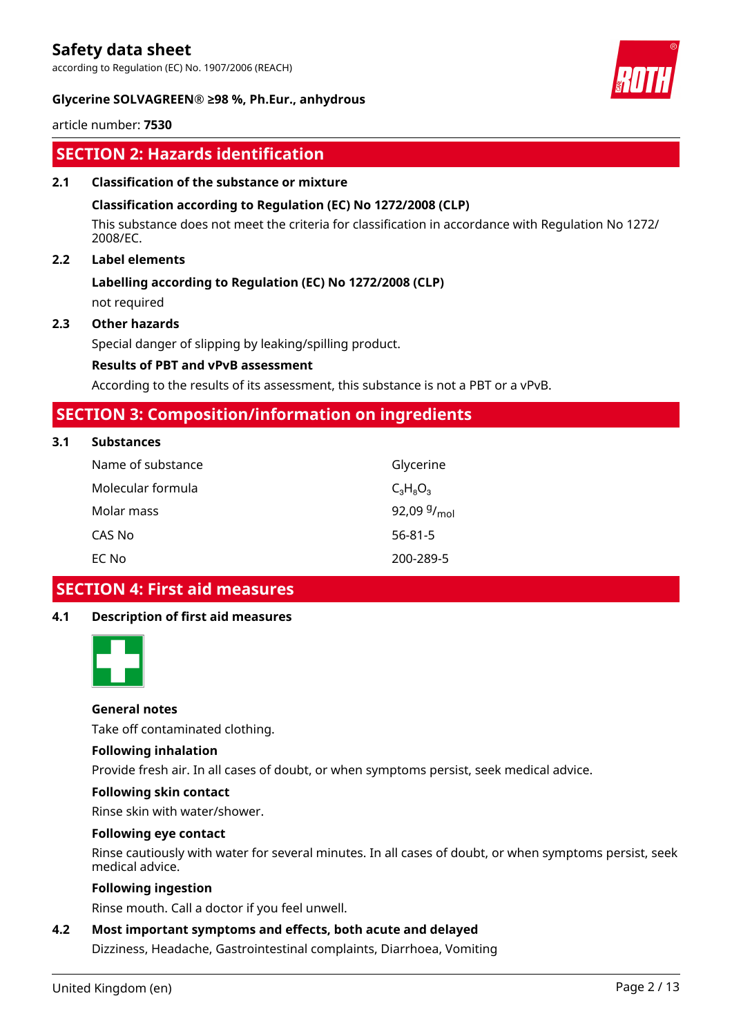according to Regulation (EC) No. 1907/2006 (REACH)



### **Glycerine SOLVAGREEN® ≥98 %, Ph.Eur., anhydrous**

article number: **7530**

### **SECTION 2: Hazards identification**

### **2.1 Classification of the substance or mixture**

### **Classification according to Regulation (EC) No 1272/2008 (CLP)**

This substance does not meet the criteria for classification in accordance with Regulation No 1272/ 2008/EC.

### **2.2 Label elements**

# **Labelling according to Regulation (EC) No 1272/2008 (CLP)**

not required

### **2.3 Other hazards**

Special danger of slipping by leaking/spilling product.

### **Results of PBT and vPvB assessment**

According to the results of its assessment, this substance is not a PBT or a vPvB.

### **SECTION 3: Composition/information on ingredients**

### **3.1 Substances**

| Name of substance | Glycerine               |
|-------------------|-------------------------|
| Molecular formula | $C_3H_8O_3$             |
| Molar mass        | 92,09 $9/_{\text{mol}}$ |
| CAS No            | $56 - 81 - 5$           |
| EC No             | 200-289-5               |

### **SECTION 4: First aid measures**

### **4.1 Description of first aid measures**



### **General notes**

Take off contaminated clothing.

### **Following inhalation**

Provide fresh air. In all cases of doubt, or when symptoms persist, seek medical advice.

#### **Following skin contact**

Rinse skin with water/shower.

#### **Following eye contact**

Rinse cautiously with water for several minutes. In all cases of doubt, or when symptoms persist, seek medical advice.

### **Following ingestion**

Rinse mouth. Call a doctor if you feel unwell.

### **4.2 Most important symptoms and effects, both acute and delayed**

Dizziness, Headache, Gastrointestinal complaints, Diarrhoea, Vomiting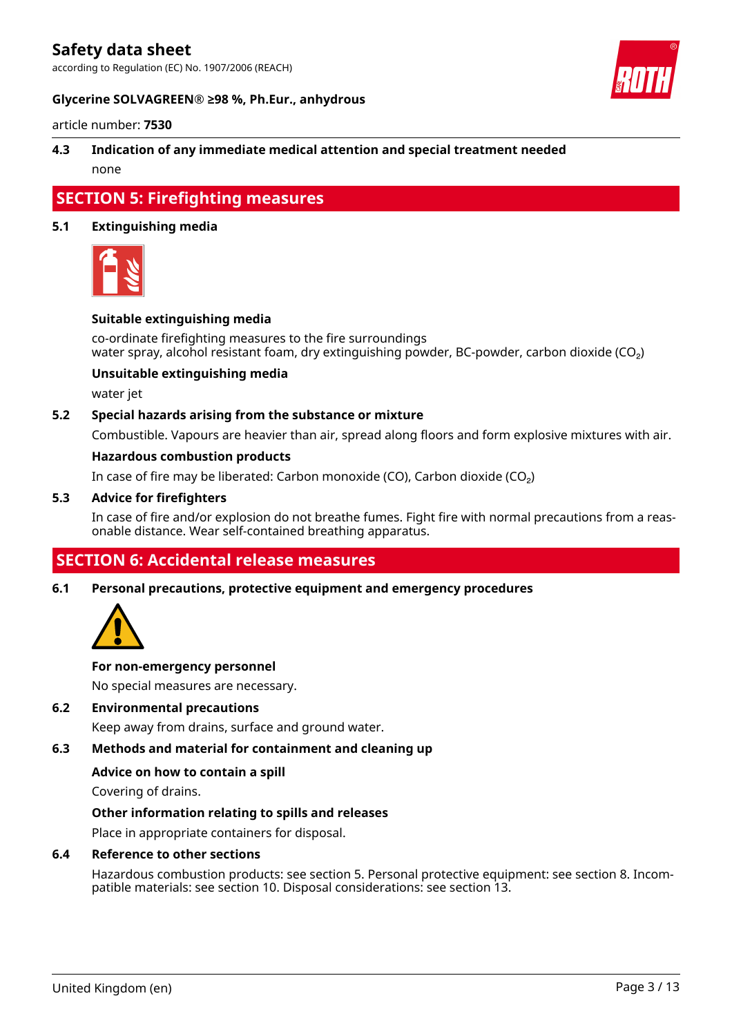according to Regulation (EC) No. 1907/2006 (REACH)



### **Glycerine SOLVAGREEN® ≥98 %, Ph.Eur., anhydrous**

article number: **7530**

### **4.3 Indication of any immediate medical attention and special treatment needed** none

# **SECTION 5: Firefighting measures**

### **5.1 Extinguishing media**



### **Suitable extinguishing media**

co-ordinate firefighting measures to the fire surroundings water spray, alcohol resistant foam, dry extinguishing powder, BC-powder, carbon dioxide ( $CO<sub>2</sub>$ )

### **Unsuitable extinguishing media**

water jet

### **5.2 Special hazards arising from the substance or mixture**

Combustible. Vapours are heavier than air, spread along floors and form explosive mixtures with air.

### **Hazardous combustion products**

In case of fire may be liberated: Carbon monoxide (CO), Carbon dioxide (CO₂)

### **5.3 Advice for firefighters**

In case of fire and/or explosion do not breathe fumes. Fight fire with normal precautions from a reasonable distance. Wear self-contained breathing apparatus.

### **SECTION 6: Accidental release measures**

**6.1 Personal precautions, protective equipment and emergency procedures**



### **For non-emergency personnel**

No special measures are necessary.

### **6.2 Environmental precautions**

Keep away from drains, surface and ground water.

### **6.3 Methods and material for containment and cleaning up**

### **Advice on how to contain a spill**

Covering of drains.

### **Other information relating to spills and releases**

Place in appropriate containers for disposal.

### **6.4 Reference to other sections**

Hazardous combustion products: see section 5. Personal protective equipment: see section 8. Incompatible materials: see section 10. Disposal considerations: see section 13.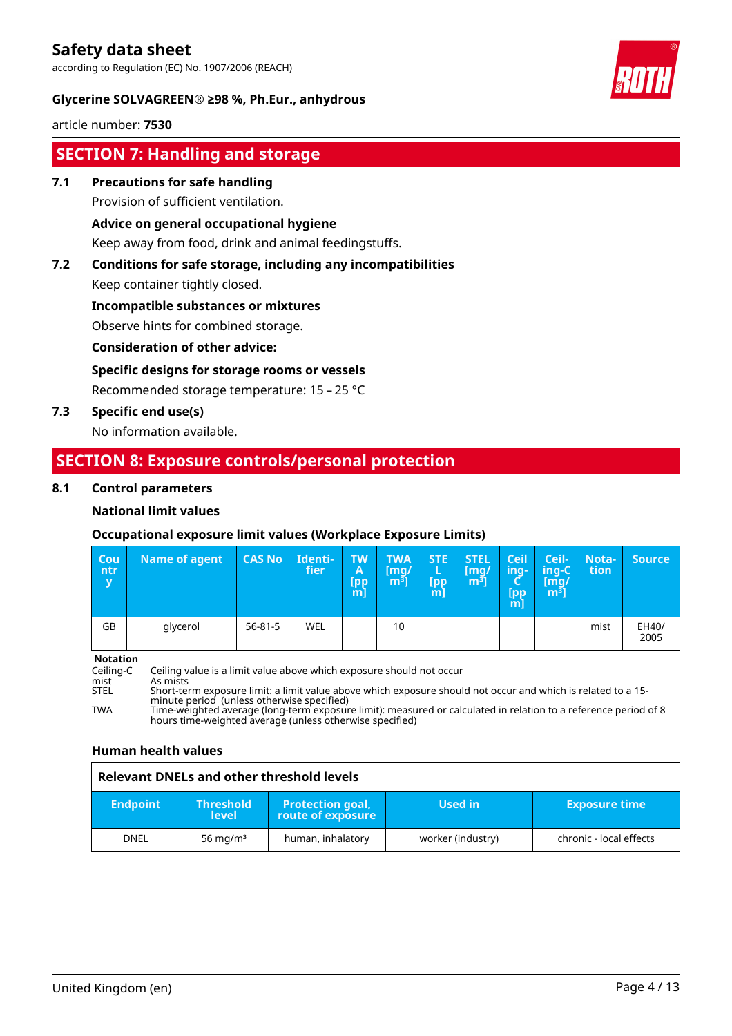according to Regulation (EC) No. 1907/2006 (REACH)



### **Glycerine SOLVAGREEN® ≥98 %, Ph.Eur., anhydrous**

article number: **7530**

### **SECTION 7: Handling and storage**

**7.1 Precautions for safe handling**

Provision of sufficient ventilation.

### **Advice on general occupational hygiene**

Keep away from food, drink and animal feedingstuffs.

### **7.2 Conditions for safe storage, including any incompatibilities**

Keep container tightly closed.

### **Incompatible substances or mixtures**

Observe hints for combined storage.

### **Consideration of other advice:**

### **Specific designs for storage rooms or vessels**

Recommended storage temperature: 15 – 25 °C

**7.3 Specific end use(s)**

No information available.

### **SECTION 8: Exposure controls/personal protection**

### **8.1 Control parameters**

### **National limit values**

### **Occupational exposure limit values (Workplace Exposure Limits)**

| $ $ Cou<br>ntr/<br>$\overline{\mathbf{v}}$ | <b>Name of agent</b> | <b>CAS No</b> | Identi-<br>fier | <b>TW</b><br>A<br><b>Lpp</b><br>$m$ ] | <b>TWA</b><br>[mq/<br>$\lfloor m^3 \rfloor$ | <b>STE</b><br>L<br><b>[pp</b><br>$m$ ] | <b>STEL</b><br>[mq/<br>m <sup>3</sup> | <b>Ceil</b><br>ing-<br>∽<br><b>Ipp</b><br>m | Ceil-<br>'ing-C<br>[mg/<br>$\left[\mathsf{m}^{\mathsf{s}}\right]$ | Nota-<br>tion | <b>Source</b> |
|--------------------------------------------|----------------------|---------------|-----------------|---------------------------------------|---------------------------------------------|----------------------------------------|---------------------------------------|---------------------------------------------|-------------------------------------------------------------------|---------------|---------------|
| GB                                         | glycerol             | 56-81-5       | WEL             |                                       | 10                                          |                                        |                                       |                                             |                                                                   | mist          | EH40/<br>2005 |

**Notation**<br>Ceiling-C

Ceiling-C Ceiling value is a limit value above which exposure should not occur

mist As mists<br>STEL Short-ter Short-term exposure limit: a limit value above which exposure should not occur and which is related to a 15minute period (unless otherwise specified)

TWA Time-weighted average (long-term exposure limit): measured or calculated in relation to a reference period of 8 hours time-weighted average (unless otherwise specified)

### **Human health values**

#### **Relevant DNELs and other threshold levels Endpoint Threshold level Protection goal, route of exposure Used in Exposure time** DNEL | 56 mg/m<sup>3</sup> | human, inhalatory | worker (industry) | chronic - local effects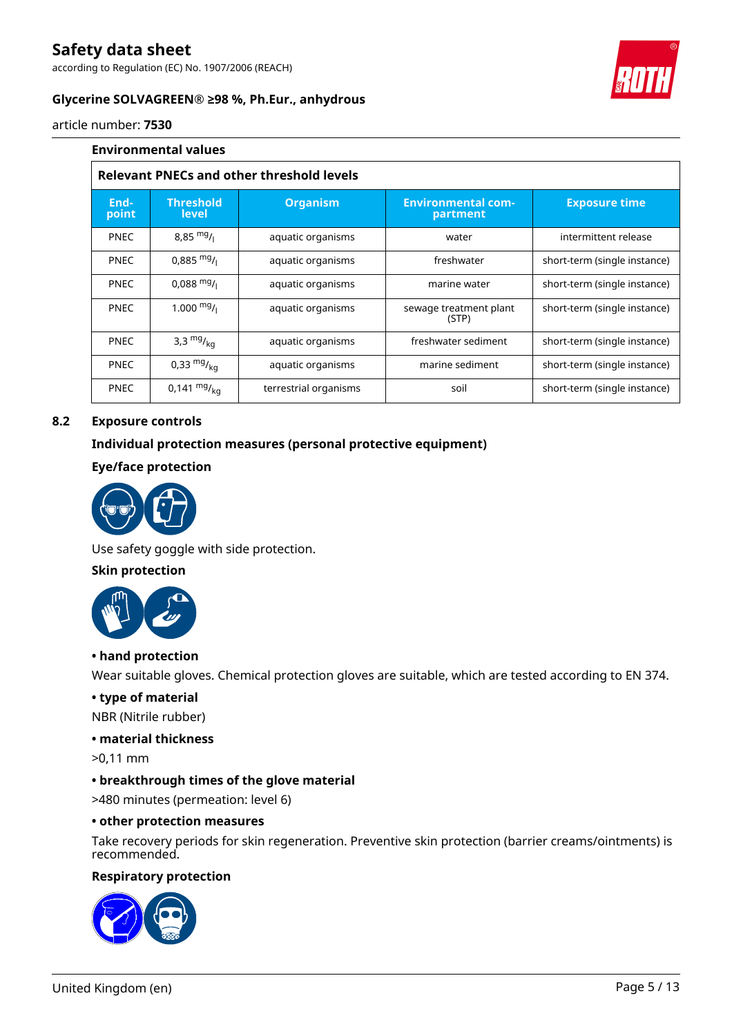according to Regulation (EC) No. 1907/2006 (REACH)



### **Glycerine SOLVAGREEN® ≥98 %, Ph.Eur., anhydrous**

article number: **7530**

|                                                  | <b>Environmental values</b>                      |                       |                                       |                              |  |  |  |
|--------------------------------------------------|--------------------------------------------------|-----------------------|---------------------------------------|------------------------------|--|--|--|
|                                                  | <b>Relevant PNECs and other threshold levels</b> |                       |                                       |                              |  |  |  |
| End-<br>point                                    | <b>Threshold</b><br>level                        | <b>Organism</b>       | <b>Environmental com-</b><br>partment |                              |  |  |  |
| <b>PNEC</b>                                      | $8,85 \frac{mg}{l}$                              | aquatic organisms     | water                                 | intermittent release         |  |  |  |
| <b>PNEC</b>                                      | $0,885 \text{ mg}$ /                             | aquatic organisms     | freshwater                            | short-term (single instance) |  |  |  |
| <b>PNEC</b>                                      | $0,088 \text{ mg}$ /                             | aquatic organisms     | marine water                          | short-term (single instance) |  |  |  |
| <b>PNEC</b>                                      | 1.000 $mg/1$                                     | aquatic organisms     | sewage treatment plant<br>(STP)       | short-term (single instance) |  |  |  |
| <b>PNEC</b>                                      | 3,3 $mg/_{kq}$                                   | aquatic organisms     | freshwater sediment                   | short-term (single instance) |  |  |  |
| 0,33 $mg/kq$<br><b>PNEC</b><br>aquatic organisms |                                                  | marine sediment       | short-term (single instance)          |                              |  |  |  |
| <b>PNEC</b>                                      | $0,141 \frac{mg}{ka}$                            | terrestrial organisms | soil                                  | short-term (single instance) |  |  |  |

### **8.2 Exposure controls**

### **Individual protection measures (personal protective equipment)**

### **Eye/face protection**



Use safety goggle with side protection.

### **Skin protection**



### **• hand protection**

Wear suitable gloves. Chemical protection gloves are suitable, which are tested according to EN 374.

### **• type of material**

NBR (Nitrile rubber)

#### **• material thickness**

>0,11 mm

### **• breakthrough times of the glove material**

>480 minutes (permeation: level 6)

#### **• other protection measures**

Take recovery periods for skin regeneration. Preventive skin protection (barrier creams/ointments) is recommended.

### **Respiratory protection**

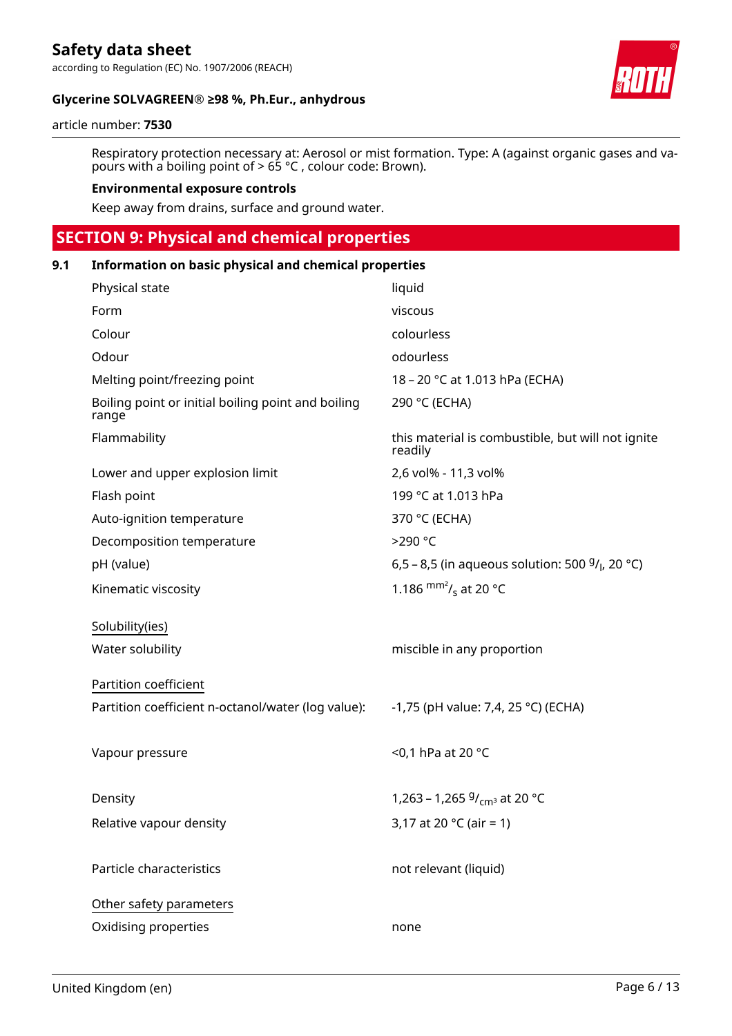### **Glycerine SOLVAGREEN® ≥98 %, Ph.Eur., anhydrous**

#### article number: **7530**

Respiratory protection necessary at: Aerosol or mist formation. Type: A (against organic gases and vapours with a boiling point of  $> 65$  °C, colour code: Brown).

#### **Environmental exposure controls**

Keep away from drains, surface and ground water.

## **SECTION 9: Physical and chemical properties**

| 9.1 | Information on basic physical and chemical properties       |                                                              |  |  |  |  |
|-----|-------------------------------------------------------------|--------------------------------------------------------------|--|--|--|--|
|     | Physical state                                              | liquid                                                       |  |  |  |  |
|     | Form                                                        | viscous                                                      |  |  |  |  |
|     | Colour                                                      | colourless                                                   |  |  |  |  |
|     | Odour                                                       | odourless                                                    |  |  |  |  |
|     | Melting point/freezing point                                | 18 – 20 °C at 1.013 hPa (ECHA)                               |  |  |  |  |
|     | Boiling point or initial boiling point and boiling<br>range | 290 °C (ECHA)                                                |  |  |  |  |
|     | Flammability                                                | this material is combustible, but will not ignite<br>readily |  |  |  |  |
|     | Lower and upper explosion limit                             | 2,6 vol% - 11,3 vol%                                         |  |  |  |  |
|     | Flash point                                                 | 199 °C at 1.013 hPa                                          |  |  |  |  |
|     | Auto-ignition temperature                                   | 370 °C (ECHA)                                                |  |  |  |  |
|     | Decomposition temperature                                   | >290 °C                                                      |  |  |  |  |
|     | pH (value)                                                  | 6,5 - 8,5 (in aqueous solution: 500 $9/$ , 20 °C)            |  |  |  |  |
|     | Kinematic viscosity                                         | 1.186 $\frac{mm^2}{s}$ at 20 °C                              |  |  |  |  |
|     | Solubility(ies)                                             |                                                              |  |  |  |  |
|     | Water solubility                                            | miscible in any proportion                                   |  |  |  |  |
|     | Partition coefficient                                       |                                                              |  |  |  |  |
|     | Partition coefficient n-octanol/water (log value):          | -1,75 (pH value: 7,4, 25 °C) (ECHA)                          |  |  |  |  |
|     | Vapour pressure                                             | <0,1 hPa at 20 °C                                            |  |  |  |  |
|     | Density                                                     | 1,263 – 1,265 $9/_{cm^3}$ at 20 °C                           |  |  |  |  |
|     | Relative vapour density                                     | 3,17 at 20 $^{\circ}$ C (air = 1)                            |  |  |  |  |
|     | Particle characteristics                                    | not relevant (liquid)                                        |  |  |  |  |
|     | Other safety parameters                                     |                                                              |  |  |  |  |
|     | Oxidising properties                                        | none                                                         |  |  |  |  |
|     |                                                             |                                                              |  |  |  |  |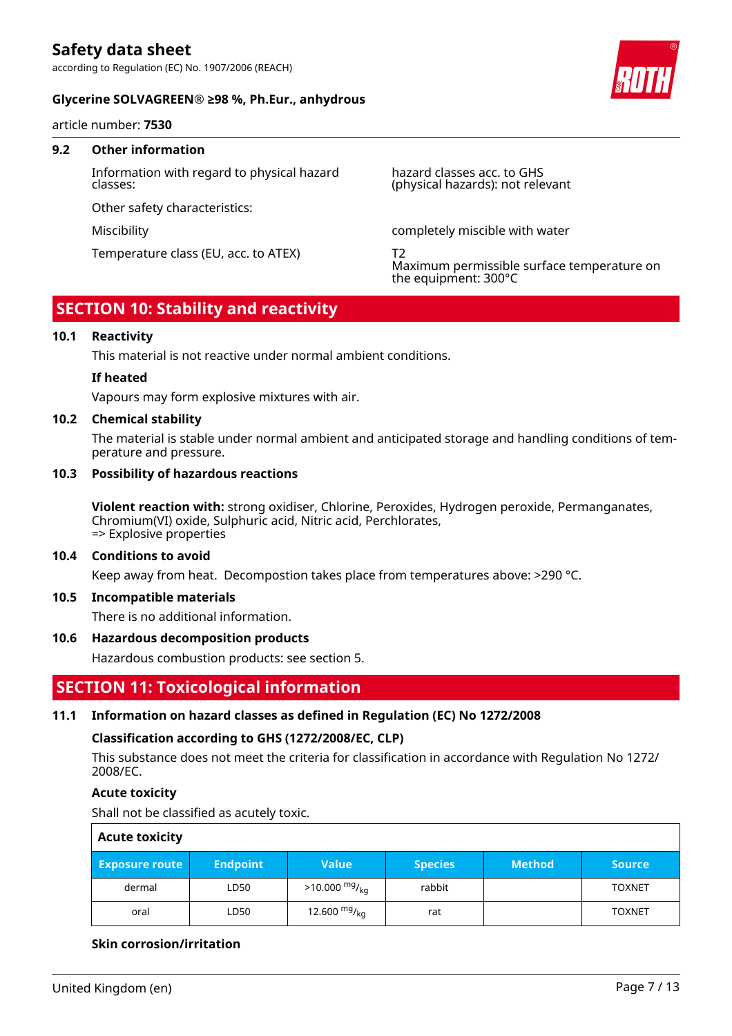### **Glycerine SOLVAGREEN® ≥98 %, Ph.Eur., anhydrous**

article number: **7530**

### **9.2 Other information**

Information with regard to physical hazard classes:

Other safety characteristics:

Temperature class (EU, acc. to ATEX) T2

hazard classes acc. to GHS (physical hazards): not relevant

Miscibility completely miscible with water

Maximum permissible surface temperature on the equipment: 300°C

### **SECTION 10: Stability and reactivity**

### **10.1 Reactivity**

This material is not reactive under normal ambient conditions.

### **If heated**

Vapours may form explosive mixtures with air.

### **10.2 Chemical stability**

The material is stable under normal ambient and anticipated storage and handling conditions of temperature and pressure.

### **10.3 Possibility of hazardous reactions**

**Violent reaction with:** strong oxidiser, Chlorine, Peroxides, Hydrogen peroxide, Permanganates, Chromium(VI) oxide, Sulphuric acid, Nitric acid, Perchlorates, => Explosive properties

#### **10.4 Conditions to avoid**

Keep away from heat. Decompostion takes place from temperatures above: >290 °C.

#### **10.5 Incompatible materials**

There is no additional information.

### **10.6 Hazardous decomposition products**

Hazardous combustion products: see section 5.

### **SECTION 11: Toxicological information**

### **11.1 Information on hazard classes as defined in Regulation (EC) No 1272/2008**

### **Classification according to GHS (1272/2008/EC, CLP)**

This substance does not meet the criteria for classification in accordance with Regulation No 1272/ 2008/EC.

### **Acute toxicity**

Shall not be classified as acutely toxic.

| <b>Acute toxicity</b> |                 |                         |                |               |               |  |  |
|-----------------------|-----------------|-------------------------|----------------|---------------|---------------|--|--|
| <b>Exposure route</b> | <b>Endpoint</b> | <b>Value</b>            | <b>Species</b> | <b>Method</b> | <b>Source</b> |  |  |
| dermal                | LD50            | $>10.000 \frac{mg}{kg}$ | rabbit         |               | <b>TOXNET</b> |  |  |
| oral                  | LD50            | 12.600 $mg/kq$          | rat            |               | <b>TOXNET</b> |  |  |

### **Skin corrosion/irritation**

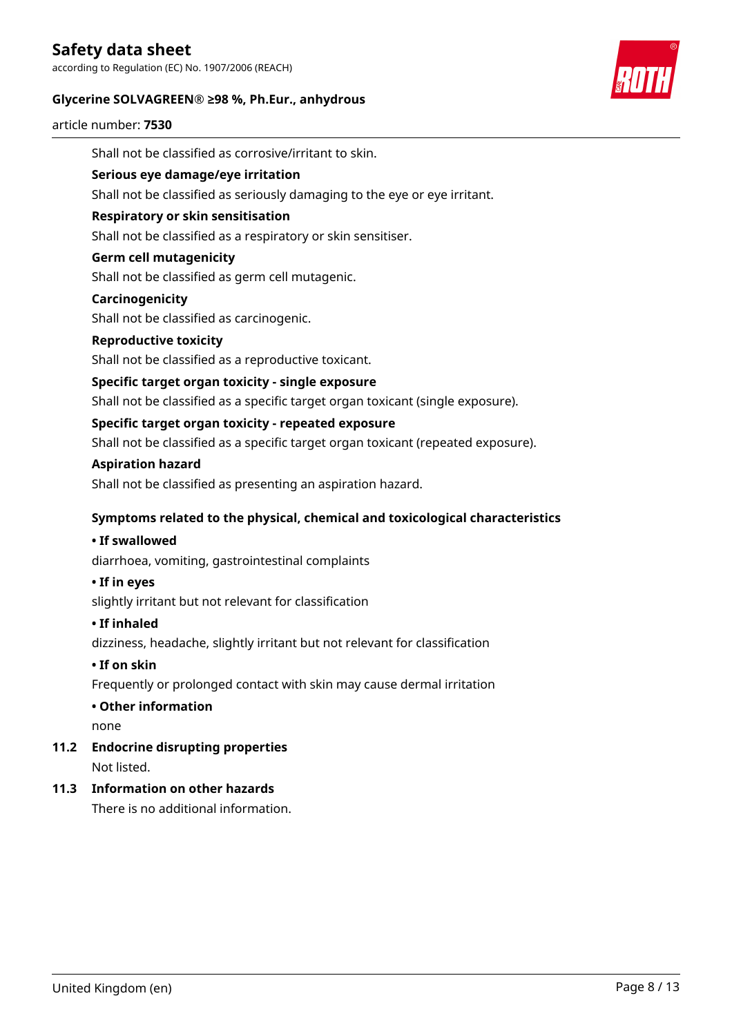according to Regulation (EC) No. 1907/2006 (REACH)

### **Glycerine SOLVAGREEN® ≥98 %, Ph.Eur., anhydrous**



article number: **7530**

Shall not be classified as corrosive/irritant to skin. **Serious eye damage/eye irritation** Shall not be classified as seriously damaging to the eye or eye irritant. **Respiratory or skin sensitisation** Shall not be classified as a respiratory or skin sensitiser. **Germ cell mutagenicity** Shall not be classified as germ cell mutagenic. **Carcinogenicity** Shall not be classified as carcinogenic. **Reproductive toxicity** Shall not be classified as a reproductive toxicant. **Specific target organ toxicity - single exposure** Shall not be classified as a specific target organ toxicant (single exposure). **Specific target organ toxicity - repeated exposure** Shall not be classified as a specific target organ toxicant (repeated exposure). **Aspiration hazard** Shall not be classified as presenting an aspiration hazard. **Symptoms related to the physical, chemical and toxicological characteristics • If swallowed** diarrhoea, vomiting, gastrointestinal complaints **• If in eyes** slightly irritant but not relevant for classification **• If inhaled** dizziness, headache, slightly irritant but not relevant for classification **• If on skin** Frequently or prolonged contact with skin may cause dermal irritation **• Other information** none **11.2 Endocrine disrupting properties** Not listed. **11.3 Information on other hazards** There is no additional information.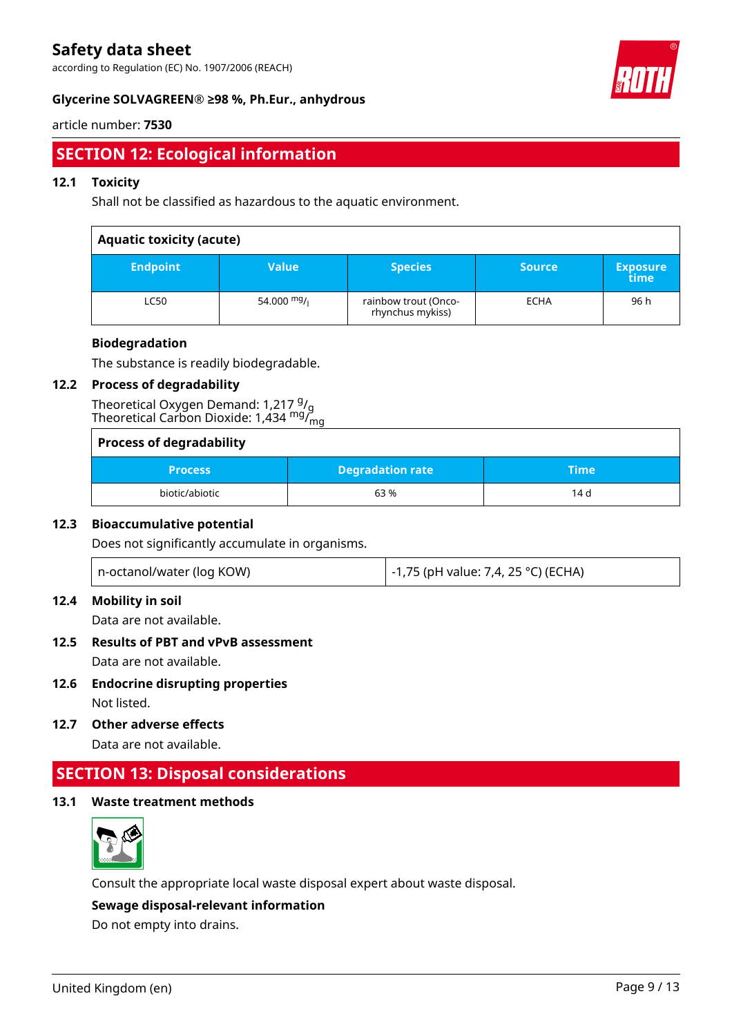according to Regulation (EC) No. 1907/2006 (REACH)



### **Glycerine SOLVAGREEN® ≥98 %, Ph.Eur., anhydrous**

### article number: **7530**

# **SECTION 12: Ecological information**

### **12.1 Toxicity**

Shall not be classified as hazardous to the aquatic environment.

### **Aquatic toxicity (acute)**

| <b>Endpoint</b> | <b>Value</b>  | <b>Species</b>                           | <b>Source</b> | <b>Exposure</b><br>time |  |  |
|-----------------|---------------|------------------------------------------|---------------|-------------------------|--|--|
| LC50            | 54.000 $mg/1$ | rainbow trout (Onco-<br>rhynchus mykiss) | <b>ECHA</b>   | 96 h                    |  |  |

### **Biodegradation**

The substance is readily biodegradable.

### **12.2 Process of degradability**

Theoretical Oxygen Demand: 1,217 g/<sub>g</sub> Theoretical Carbon Dioxide: 1,434 <sup>mg</sup>/<sub>mg</sub>

| <b>Process of degradability</b> |                         |      |  |  |  |
|---------------------------------|-------------------------|------|--|--|--|
| <b>Process</b>                  | <b>Degradation rate</b> | Time |  |  |  |
| biotic/abiotic                  | 63%                     | 14 d |  |  |  |

### **12.3 Bioaccumulative potential**

Does not significantly accumulate in organisms.

| n-octanol/water (log KOW) | -1,75 (pH value: 7,4, 25 °C) (ECHA) |
|---------------------------|-------------------------------------|
|---------------------------|-------------------------------------|

### **12.4 Mobility in soil**

Data are not available.

### **12.5 Results of PBT and vPvB assessment** Data are not available.

**12.6 Endocrine disrupting properties** Not listed.

**12.7 Other adverse effects**

Data are not available.

### **SECTION 13: Disposal considerations**

### **13.1 Waste treatment methods**



Consult the appropriate local waste disposal expert about waste disposal.

### **Sewage disposal-relevant information**

Do not empty into drains.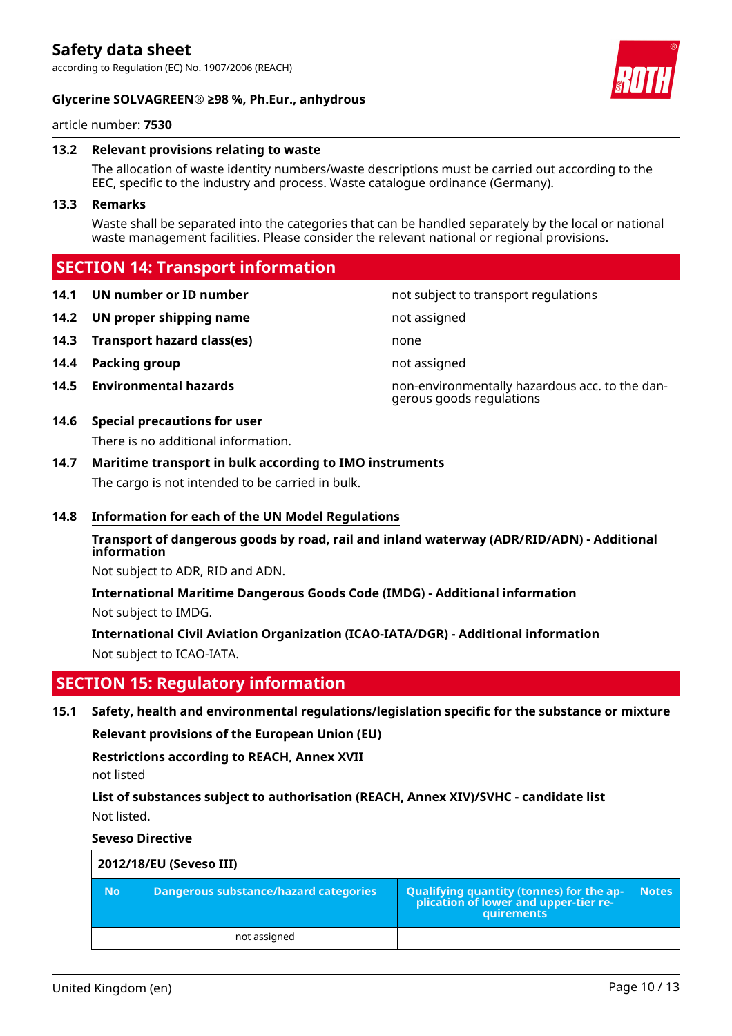### **Glycerine SOLVAGREEN® ≥98 %, Ph.Eur., anhydrous**



article number: **7530**

### **13.2 Relevant provisions relating to waste**

The allocation of waste identity numbers/waste descriptions must be carried out according to the EEC, specific to the industry and process. Waste catalogue ordinance (Germany).

#### **13.3 Remarks**

Waste shall be separated into the categories that can be handled separately by the local or national waste management facilities. Please consider the relevant national or regional provisions.

### **SECTION 14: Transport information**

- **14.1 UN number or ID number not subject to transport regulations**
- **14.2 UN proper shipping name not assigned not** assigned
- **14.3 Transport hazard class(es)** none
- **14.4 Packing group not assigned**
- **14.5 Environmental hazards** non-environmentally hazardous acc. to the dan-

### **14.6 Special precautions for user**

There is no additional information.

### **14.7 Maritime transport in bulk according to IMO instruments**

The cargo is not intended to be carried in bulk.

### **14.8 Information for each of the UN Model Regulations**

### **Transport of dangerous goods by road, rail and inland waterway (ADR/RID/ADN) - Additional information**

gerous goods regulations

Not subject to ADR, RID and ADN.

**International Maritime Dangerous Goods Code (IMDG) - Additional information** Not subject to IMDG.

**International Civil Aviation Organization (ICAO-IATA/DGR) - Additional information** Not subject to ICAO-IATA.

### **SECTION 15: Regulatory information**

**15.1 Safety, health and environmental regulations/legislation specific for the substance or mixture**

**Relevant provisions of the European Union (EU)**

**Restrictions according to REACH, Annex XVII**

not listed

**List of substances subject to authorisation (REACH, Annex XIV)/SVHC - candidate list** Not listed.

**Seveso Directive**

| 2012/18/EU (Seveso III) |                                              |                                                                                            |              |  |  |  |  |
|-------------------------|----------------------------------------------|--------------------------------------------------------------------------------------------|--------------|--|--|--|--|
| <b>No</b>               | <b>Dangerous substance/hazard categories</b> | Qualifying quantity (tonnes) for the application of lower and upper-tier re-<br>quirements | <b>Notes</b> |  |  |  |  |
|                         | not assigned                                 |                                                                                            |              |  |  |  |  |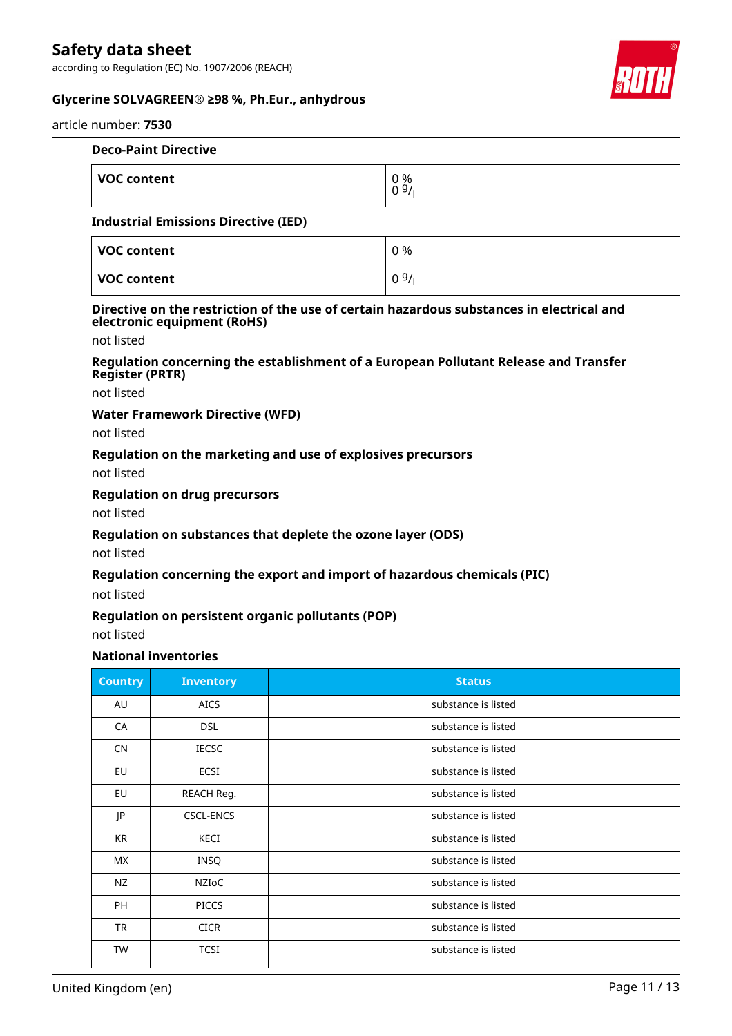according to Regulation (EC) No. 1907/2006 (REACH)





#### article number: **7530**

| <b>Deco-Paint Directive</b> |                       |  |  |  |
|-----------------------------|-----------------------|--|--|--|
| ∣ VOC content               | 0 %<br>0 <sup>9</sup> |  |  |  |

### **Industrial Emissions Directive (IED)**

| VOC content | 0 %  |
|-------------|------|
| VOC content | 09/1 |

#### **Directive on the restriction of the use of certain hazardous substances in electrical and electronic equipment (RoHS)**

not listed

### **Regulation concerning the establishment of a European Pollutant Release and Transfer Register (PRTR)**

not listed

### **Water Framework Directive (WFD)**

not listed

### **Regulation on the marketing and use of explosives precursors**

not listed

### **Regulation on drug precursors**

not listed

### **Regulation on substances that deplete the ozone layer (ODS)**

not listed

### **Regulation concerning the export and import of hazardous chemicals (PIC)**

not listed

### **Regulation on persistent organic pollutants (POP)**

not listed

### **National inventories**

| <b>Country</b> | <b>Inventory</b> | <b>Status</b>       |
|----------------|------------------|---------------------|
| AU             | <b>AICS</b>      | substance is listed |
| CA             | <b>DSL</b>       | substance is listed |
| <b>CN</b>      | <b>IECSC</b>     | substance is listed |
| EU             | ECSI             | substance is listed |
| EU             | REACH Reg.       | substance is listed |
| JP             | <b>CSCL-ENCS</b> | substance is listed |
| KR             | <b>KECI</b>      | substance is listed |
| МX             | <b>INSQ</b>      | substance is listed |
| NZ             | NZIOC            | substance is listed |
| PH             | <b>PICCS</b>     | substance is listed |
| TR             | <b>CICR</b>      | substance is listed |
| TW             | <b>TCSI</b>      | substance is listed |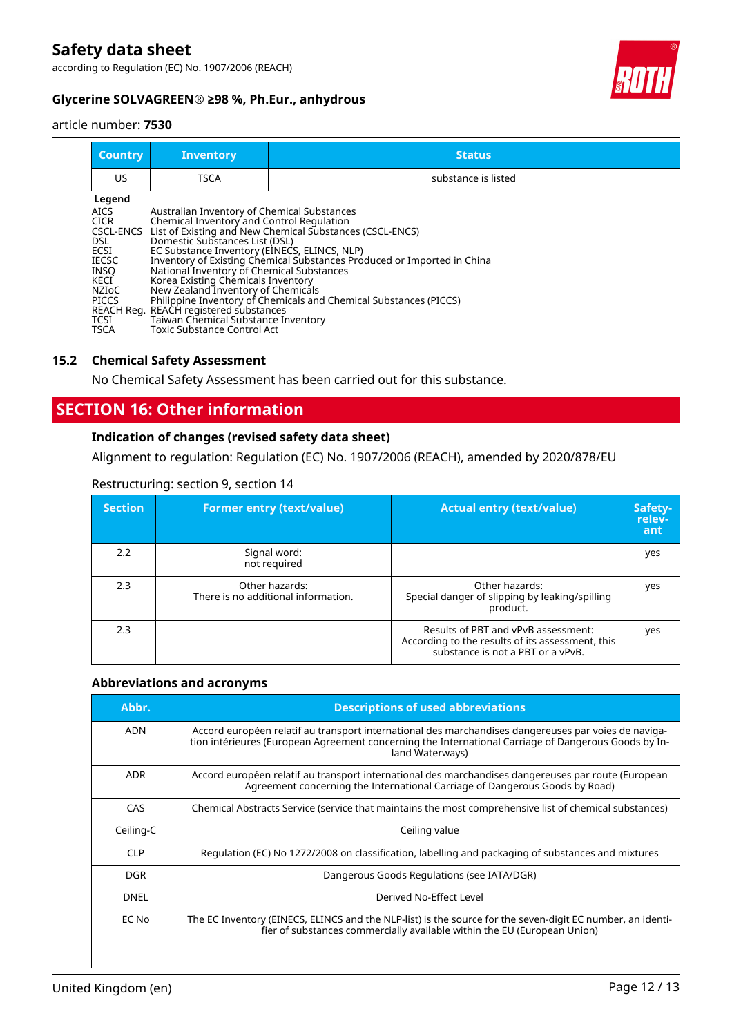according to Regulation (EC) No. 1907/2006 (REACH)



### **Glycerine SOLVAGREEN® ≥98 %, Ph.Eur., anhydrous**

#### article number: **7530**

| <b>Country</b>                                                                                                                            | <b>Inventory</b>                                                                                                                                                                                                                                                                                                                                                                                                           | <b>Status</b>                                                                                                                                                                                            |
|-------------------------------------------------------------------------------------------------------------------------------------------|----------------------------------------------------------------------------------------------------------------------------------------------------------------------------------------------------------------------------------------------------------------------------------------------------------------------------------------------------------------------------------------------------------------------------|----------------------------------------------------------------------------------------------------------------------------------------------------------------------------------------------------------|
| US                                                                                                                                        | <b>TSCA</b>                                                                                                                                                                                                                                                                                                                                                                                                                | substance is listed                                                                                                                                                                                      |
| Legend<br><b>AICS</b><br><b>CICR</b><br>CSCL-ENCS<br>DSL<br>ECSI<br>IECSC<br><b>INSO</b><br>KECI<br>NZIoC<br>PICCS<br>TCSI<br><b>TSCA</b> | Australian Inventory of Chemical Substances<br>Chemical Inventory and Control Regulation<br>Domestic Substances List (DSL)<br>EC Substance Inventory (EINECS, ELINCS, NLP)<br>National Inventory of Chemical Substances<br>Korea Existing Chemicals Inventory<br>New Zealand Inventory of Chemicals<br>REACH Reg. REACH registered substances<br>Taiwan Chemical Substance Inventory<br><b>Toxic Substance Control Act</b> | List of Existing and New Chemical Substances (CSCL-ENCS)<br>Inventory of Existing Chemical Substances Produced or Imported in China<br>Philippine Inventory of Chemicals and Chemical Substances (PICCS) |

### **15.2 Chemical Safety Assessment**

No Chemical Safety Assessment has been carried out for this substance.

## **SECTION 16: Other information**

### **Indication of changes (revised safety data sheet)**

Alignment to regulation: Regulation (EC) No. 1907/2006 (REACH), amended by 2020/878/EU

| <b>Section</b> | <b>Former entry (text/value)</b>                      | <b>Actual entry (text/value)</b>                                                                                             | Safety-<br>relev-<br>ant |
|----------------|-------------------------------------------------------|------------------------------------------------------------------------------------------------------------------------------|--------------------------|
| 2.2            | Signal word:<br>not required                          |                                                                                                                              | yes                      |
| 2.3            | Other hazards:<br>There is no additional information. | Other hazards:<br>Special danger of slipping by leaking/spilling<br>product.                                                 | yes                      |
| 2.3            |                                                       | Results of PBT and vPvB assessment:<br>According to the results of its assessment, this<br>substance is not a PBT or a vPvB. | yes                      |

### Restructuring: section 9, section 14

### **Abbreviations and acronyms**

| Abbr.       | <b>Descriptions of used abbreviations</b>                                                                                                                                                                                       |
|-------------|---------------------------------------------------------------------------------------------------------------------------------------------------------------------------------------------------------------------------------|
| <b>ADN</b>  | Accord européen relatif au transport international des marchandises dangereuses par voies de naviga-<br>tion intérieures (European Agreement concerning the International Carriage of Dangerous Goods by In-<br>land Waterways) |
| <b>ADR</b>  | Accord européen relatif au transport international des marchandises dangereuses par route (European<br>Agreement concerning the International Carriage of Dangerous Goods by Road)                                              |
| CAS         | Chemical Abstracts Service (service that maintains the most comprehensive list of chemical substances)                                                                                                                          |
| Ceiling-C   | Ceiling value                                                                                                                                                                                                                   |
| <b>CLP</b>  | Regulation (EC) No 1272/2008 on classification, labelling and packaging of substances and mixtures                                                                                                                              |
| <b>DGR</b>  | Dangerous Goods Regulations (see IATA/DGR)                                                                                                                                                                                      |
| <b>DNEL</b> | Derived No-Effect Level                                                                                                                                                                                                         |
| EC No       | The EC Inventory (EINECS, ELINCS and the NLP-list) is the source for the seven-digit EC number, an identi-<br>fier of substances commercially available within the EU (European Union)                                          |